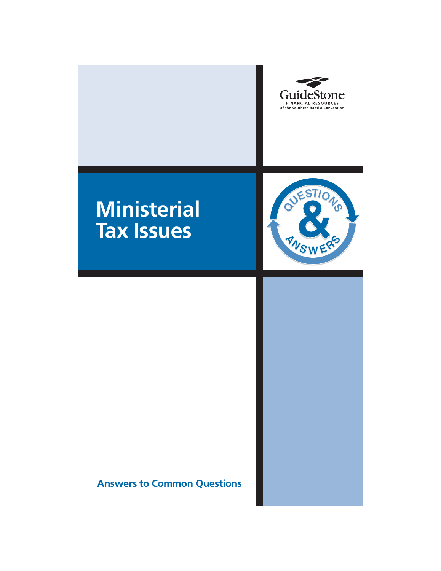

# **Ministerial Tax Issues**



**Answers to Common Questions**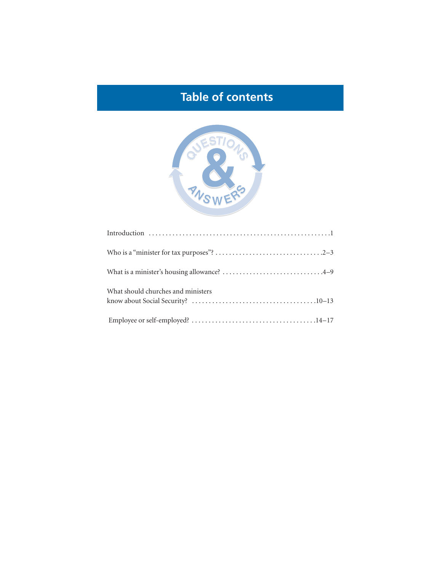# **Table of contents**



| What should churches and ministers |
|------------------------------------|
|                                    |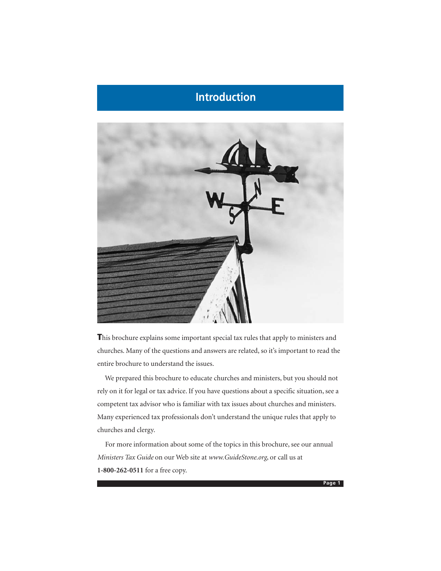# **Introduction**



**T**his brochure explains some important special tax rules that apply to ministers and churches. Many of the questions and answers are related, so it's important to read the entire brochure to understand the issues.

We prepared this brochure to educate churches and ministers, but you should not rely on it for legal or tax advice. If you have questions about a specific situation, see a competent tax advisor who is familiar with tax issues about churches and ministers. Many experienced tax professionals don't understand the unique rules that apply to churches and clergy.

For more information about some of the topics in this brochure, see our annual *Ministers Tax Guide* on our Web site at *www.GuideStone.org*, or call us at **1-800-262-0511** for a free copy.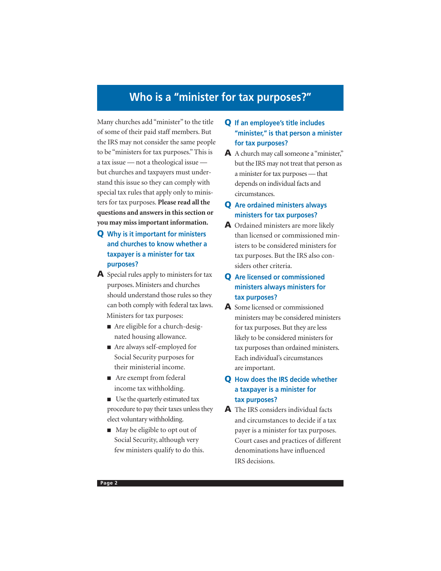# **Who is a "minister for tax purposes?"**

Many churches add "minister" to the title of some of their paid staff members. But the IRS may not consider the same people to be "ministers for tax purposes." This is a tax issue — not a theological issue but churches and taxpayers must understand this issue so they can comply with special tax rules that apply only to ministers for tax purposes. **Please read all the questions and answers in this section or you may miss important information.**

- **Q Why is it important for ministers and churches to know whether a taxpayer is a minister for tax purposes?**
- **A** Special rules apply to ministers for tax purposes. Ministers and churches should understand those rules so they can both comply with federal tax laws. Ministers for tax purposes:
	- Are eligible for a church-designated housing allowance.
	- Are always self-employed for Social Security purposes for their ministerial income.
	- Are exempt from federal income tax withholding.

■ Use the quarterly estimated tax procedure to pay their taxes unless they elect voluntary withholding.

■ May be eligible to opt out of Social Security, although very few ministers qualify to do this.

# **Q If an employee's title includes "minister," is that person a minister for tax purposes?**

**A** A church may call someone a "minister," but the IRS may not treat that person as a minister for tax purposes — that depends on individual facts and circumstances.

### **Q Are ordained ministers always ministers for tax purposes?**

**A** Ordained ministers are more likely than licensed or commissioned ministers to be considered ministers for tax purposes. But the IRS also considers other criteria.

### **Q Are licensed or commissioned ministers always ministers for tax purposes?**

**A** Some licensed or commissioned ministers may be considered ministers for tax purposes. But they are less likely to be considered ministers for tax purposes than ordained ministers. Each individual's circumstances are important.

## **Q How does the IRS decide whether a taxpayer is a minister for tax purposes?**

**A** The IRS considers individual facts and circumstances to decide if a tax payer is a minister for tax purposes. Court cases and practices of different denominations have influenced IRS decisions.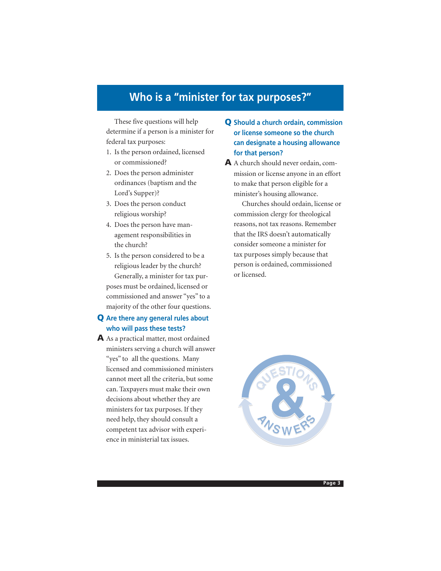# **Who is a "minister for tax purposes?"**

These five questions will help determine if a person is a minister for federal tax purposes:

- 1. Is the person ordained, licensed or commissioned?
- 2. Does the person administer ordinances (baptism and the Lord's Supper)?
- 3. Does the person conduct religious worship?
- 4. Does the person have management responsibilities in the church?
- 5. Is the person considered to be a religious leader by the church? Generally, a minister for tax purposes must be ordained, licensed or commissioned and answer "yes" to a majority of the other four questions.

### **Q Are there any general rules about who will pass these tests?**

**A** As a practical matter, most ordained ministers serving a church will answer "yes" to all the questions. Many licensed and commissioned ministers cannot meet all the criteria, but some can. Taxpayers must make their own decisions about whether they are ministers for tax purposes. If they need help, they should consult a competent tax advisor with experience in ministerial tax issues.

- **Q Should a church ordain, commission or license someone so the church can designate a housing allowance for that person?**
- **A** A church should never ordain, commission or license anyone in an effort to make that person eligible for a minister's housing allowance.

Churches should ordain, license or commission clergy for theological reasons, not tax reasons. Remember that the IRS doesn't automatically consider someone a minister for tax purposes simply because that person is ordained, commissioned or licensed.

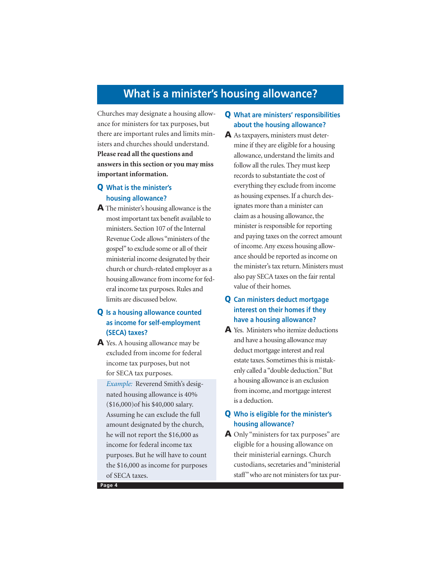Churches may designate a housing allowance for ministers for tax purposes, but there are important rules and limits ministers and churches should understand. **Please read all the questions and answers in this section or you may miss important information.**

#### **Q What is the minister's housing allowance?**

**A** The minister's housing allowance is the most important tax benefit available to ministers. Section 107 of the Internal Revenue Code allows "ministers of the gospel"to exclude some or all of their ministerial income designated by their church or church-related employer as a housing allowance from income for federal income tax purposes. Rules and limits are discussed below.

## **Q Is a housing allowance counted as income for self-employment (SECA) taxes?**

**A** Yes. A housing allowance may be excluded from income for federal income tax purposes, but not for SECA tax purposes.

*Example:* Reverend Smith's designated housing allowance is 40% (\$16,000)of his \$40,000 salary. Assuming he can exclude the full amount designated by the church, he will not report the \$16,000 as income for federal income tax purposes. But he will have to count the \$16,000 as income for purposes of SECA taxes.

### **Q What are ministers' responsibilities about the housing allowance?**

**A** As taxpayers, ministers must determine if they are eligible for a housing allowance, understand the limits and follow all the rules. They must keep records to substantiate the cost of everything they exclude from income as housing expenses. If a church designates more than a minister can claim as a housing allowance, the minister is responsible for reporting and paying taxes on the correct amount of income. Any excess housing allowance should be reported as income on the minister's tax return. Ministers must also pay SECA taxes on the fair rental value of their homes.

# **Q Can ministers deduct mortgage interest on their homes if they have a housing allowance?**

**A** Yes. Ministers who itemize deductions and have a housing allowance may deduct mortgage interest and real estate taxes. Sometimes this is mistakenly called a "double deduction."But a housing allowance is an exclusion from income, and mortgage interest is a deduction.

### **Q Who is eligible for the minister's housing allowance?**

**A** Only "ministers for tax purposes" are eligible for a housing allowance on their ministerial earnings. Church custodians, secretaries and "ministerial staff" who are not ministers for tax pur-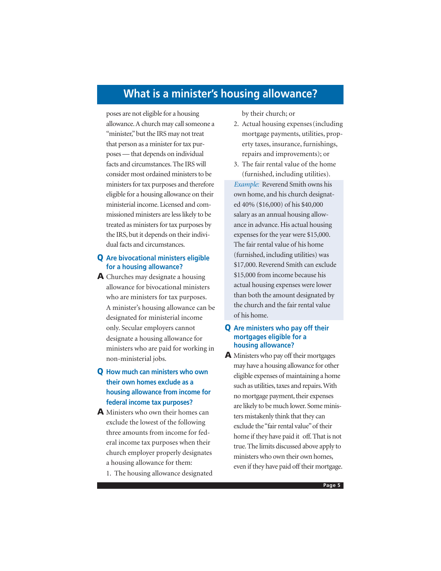poses are not eligible for a housing allowance. A church may call someone a "minister,"but the IRS may not treat that person as a minister for tax purposes — that depends on individual facts and circumstances. The IRS will consider most ordained ministers to be ministers for tax purposes and therefore eligible for a housing allowance on their ministerial income. Licensed and commissioned ministers are less likely to be treated as ministers for tax purposes by the IRS, but it depends on their individual facts and circumstances.

#### **Q Are bivocational ministers eligible for a housing allowance?**

**A** Churches may designate a housing allowance for bivocational ministers who are ministers for tax purposes. A minister's housing allowance can be designated for ministerial income only. Secular employers cannot designate a housing allowance for ministers who are paid for working in non-ministerial jobs.

# **Q How much can ministers who own their own homes exclude as a housing allowance from income for federal income tax purposes?**

- **A** Ministers who own their homes can exclude the lowest of the following three amounts from income for federal income tax purposes when their church employer properly designates a housing allowance for them:
	- 1. The housing allowance designated

by their church; or

- 2. Actual housing expenses(including mortgage payments, utilities, property taxes, insurance, furnishings, repairs and improvements); or
- 3. The fair rental value of the home (furnished, including utilities). *Example:* Reverend Smith owns his own home, and his church designated 40% (\$16,000) of his \$40,000 salary as an annual housing allowance in advance. His actual housing expenses for the year were \$15,000. The fair rental value of his home (furnished, including utilities) was \$17,000. Reverend Smith can exclude \$15,000 from income because his actual housing expenses were lower than both the amount designated by the church and the fair rental value of his home.

#### **Q Are ministers who pay off their mortgages eligible for a housing allowance?**

**A** Ministers who pay off their mortgages may have a housing allowance for other eligible expenses of maintaining a home such as utilities, taxes and repairs.With no mortgage payment, their expenses are likely to be much lower. Some ministers mistakenly think that they can exclude the "fair rental value"of their home if they have paid it off. That is not true. The limits discussed above apply to ministers who own their own homes, even if they have paid off their mortgage.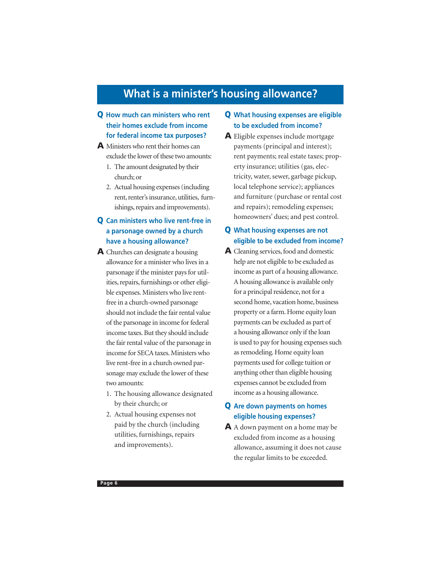### **Q How much can ministers who rent their homes exclude from income for federal income tax purposes?**

- **A** Ministers who rent their homes can exclude the lower of these two amounts:
	- 1. The amount designated by their church; or
	- 2. Actual housing expenses (including rent, renter's insurance, utilities, furnishings, repairs and improvements).

# **Q Can ministers who live rent-free in a parsonage owned by a church have a housing allowance?**

- **A** Churches can designate a housing allowance for a minister who lives in a parsonage if the minister pays for utilities, repairs, furnishings or other eligible expenses. Ministers who live rentfree in a church-owned parsonage should not include the fair rental value of the parsonage in income for federal income taxes. But they should include the fair rental value of the parsonage in income for SECA taxes. Ministers who live rent-free in a church owned parsonage may exclude the lower of these two amounts:
	- 1. The housing allowance designated by their church; or
	- 2. Actual housing expenses not paid by the church (including utilities, furnishings, repairs and improvements).

# **Q What housing expenses are eligible to be excluded from income?**

**A** Eligible expenses include mortgage payments (principal and interest); rent payments; real estate taxes; property insurance; utilities (gas, electricity, water, sewer, garbage pickup, local telephone service); appliances and furniture (purchase or rental cost and repairs); remodeling expenses; homeowners' dues; and pest control.

#### **Q What housing expenses are not eligible to be excluded from income?**

**A** Cleaning services, food and domestic help are not eligible to be excluded as income as part of a housing allowance. A housing allowance is available only for a principal residence, not for a second home, vacation home, business property or a farm. Home equity loan payments can be excluded as part of a housing allowance only if the loan is used to pay for housing expenses such as remodeling. Home equity loan payments used for college tuition or anything other than eligible housing expenses cannot be excluded from income as a housing allowance.

### **Q Are down payments on homes eligible housing expenses?**

**A** A down payment on a home may be excluded from income as a housing allowance, assuming it does not cause the regular limits to be exceeded.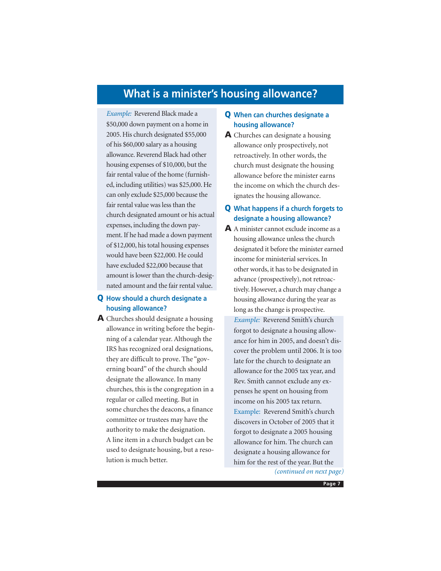*Example:* Reverend Black made a \$50,000 down payment on a home in 2005. His church designated \$55,000 of his \$60,000 salary as a housing allowance. Reverend Black had other housing expenses of \$10,000, but the fair rental value of the home (furnished, including utilities) was \$25,000. He can only exclude \$25,000 because the fair rental value was less than the church designated amount or his actual expenses, including the down payment. If he had made a down payment of \$12,000, his total housing expenses would have been \$22,000. He could have excluded \$22,000 because that amount is lower than the church-designated amount and the fair rental value.

### **Q How should a church designate a housing allowance?**

**A** Churches should designate a housing allowance in writing before the beginning of a calendar year. Although the IRS has recognized oral designations, they are difficult to prove. The "governing board" of the church should designate the allowance. In many churches, this is the congregation in a regular or called meeting. But in some churches the deacons, a finance committee or trustees may have the authority to make the designation. A line item in a church budget can be used to designate housing, but a resolution is much better.

#### **Q When can churches designate a housing allowance?**

- **A** Churches can designate a housing allowance only prospectively, not retroactively. In other words, the church must designate the housing allowance before the minister earns the income on which the church designates the housing allowance.
- **Q What happens if a church forgets to designate a housing allowance?**

**A** A minister cannot exclude income as a housing allowance unless the church designated it before the minister earned income for ministerial services. In other words, it has to be designated in advance (prospectively), not retroactively. However, a church may change a housing allowance during the year as long as the change is prospective.

*Example:* Reverend Smith's church forgot to designate a housing allowance for him in 2005, and doesn't discover the problem until 2006. It is too late for the church to designate an allowance for the 2005 tax year, and Rev. Smith cannot exclude any expenses he spent on housing from income on his 2005 tax return. Example: Reverend Smith's church discovers in October of 2005 that it forgot to designate a 2005 housing allowance for him. The church can designate a housing allowance for him for the rest of the year. But the *(continued on next page)*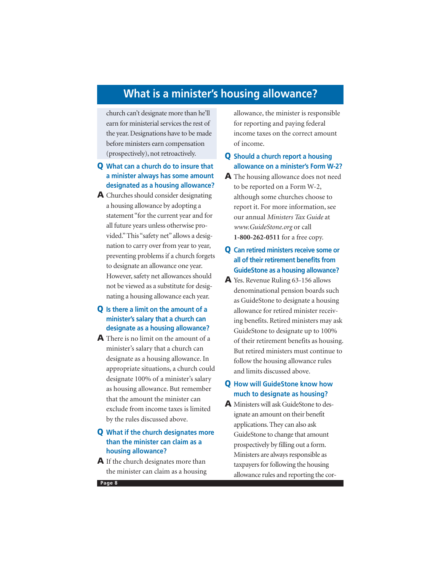church can't designate more than he'll earn for ministerial services the rest of the year. Designations have to be made before ministers earn compensation (prospectively), not retroactively.

#### **Q What can a church do to insure that a minister always has some amount designated as a housing allowance?**

**A** Churches should consider designating a housing allowance by adopting a statement "for the current year and for all future years unless otherwise provided." This "safety net" allows a designation to carry over from year to year, preventing problems if a church forgets to designate an allowance one year. However, safety net allowances should not be viewed as a substitute for designating a housing allowance each year.

#### **Q Is there a limit on the amount of a minister's salary that a church can designate as a housing allowance?**

**A** There is no limit on the amount of a minister's salary that a church can designate as a housing allowance. In appropriate situations, a church could designate 100% of a minister's salary as housing allowance. But remember that the amount the minister can exclude from income taxes is limited by the rules discussed above.

#### **Q What if the church designates more than the minister can claim as a housing allowance?**

**A** If the church designates more than the minister can claim as a housing allowance, the minister is responsible for reporting and paying federal income taxes on the correct amount of income.

- **Q Should a church report a housing allowance on a minister's Form W-2?**
- **A** The housing allowance does not need to be reported on a Form W-2, although some churches choose to report it. For more information, see our annual *Ministers Tax Guide* at *www.GuideStone.org* or call **1-800-262-0511** for a free copy.
- **Q Can retired ministers receive some or all of their retirement benefits from GuideStone as a housing allowance?**
- **A** Yes. Revenue Ruling 63-156 allows denominational pension boards such as GuideStone to designate a housing allowance for retired minister receiving benefits. Retired ministers may ask GuideStone to designate up to 100% of their retirement benefits as housing. But retired ministers must continue to follow the housing allowance rules and limits discussed above.

#### **Q How will GuideStone know how much to designate as housing?**

**A** Ministers will ask GuideStone to designate an amount on their benefit applications. They can also ask GuideStone to change that amount prospectively by filling out a form. Ministers are always responsible as taxpayers for following the housing allowance rules and reporting the cor-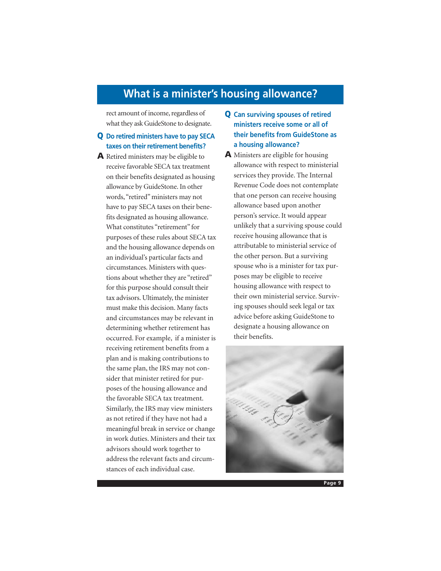rect amount of income, regardless of what they ask GuideStone to designate.

**Q Do retired ministers have to pay SECA taxes on their retirement benefits?**

**A** Retired ministers may be eligible to receive favorable SECA tax treatment on their benefits designated as housing allowance by GuideStone. In other words,"retired" ministers may not have to pay SECA taxes on their benefits designated as housing allowance. What constitutes "retirement" for purposes of these rules about SECA tax and the housing allowance depends on an individual's particular facts and circumstances. Ministers with questions about whether they are "retired" for this purpose should consult their tax advisors. Ultimately, the minister must make this decision. Many facts and circumstances may be relevant in determining whether retirement has occurred. For example, if a minister is receiving retirement benefits from a plan and is making contributions to the same plan, the IRS may not consider that minister retired for purposes of the housing allowance and the favorable SECA tax treatment. Similarly, the IRS may view ministers as not retired if they have not had a meaningful break in service or change in work duties. Ministers and their tax advisors should work together to address the relevant facts and circumstances of each individual case.

- **Q Can surviving spouses of retired ministers receive some or all of their benefits from GuideStone as a housing allowance?**
- **A** Ministers are eligible for housing allowance with respect to ministerial services they provide. The Internal Revenue Code does not contemplate that one person can receive housing allowance based upon another person's service. It would appear unlikely that a surviving spouse could receive housing allowance that is attributable to ministerial service of the other person. But a surviving spouse who is a minister for tax purposes may be eligible to receive housing allowance with respect to their own ministerial service. Surviving spouses should seek legal or tax advice before asking GuideStone to designate a housing allowance on their benefits.

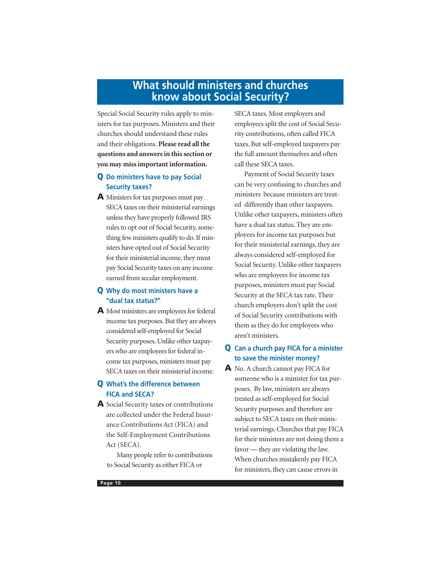Special Social Security rules apply to ministers for tax purposes. Ministers and their churches should understand these rules and their obligations. **Please read all the questions and answers in this section or you may miss important information.**

# **Q Do ministers have to pay Social Security taxes?**

**A** Ministers for tax purposes must pay SECA taxes on their ministerial earnings unless they have properly followed IRS rules to opt out of Social Security, something few ministers qualify to do. If ministers have opted out of Social Security for their ministerial income, they must pay Social Security taxes on any income earned from secular employment.

# **Q Why do most ministers have a "dual tax status?"**

**A** Most ministers are employees for federal income tax purposes. But they arealways considered self-employed for Social Security purposes. Unlike other taxpayers who are employees for federal income tax purposes, ministers must pay SECA taxes on their ministerial income.

# **Q What's the difference between FICA and SECA?**

**A** Social Security taxes or contributions are collected under the Federal Insurance Contributions Act (FICA) and the Self-Employment Contributions Act (SECA).

Many people refer to contributions to Social Security as either FICA or

SECA taxes. Most employers and employees split the cost of Social Security contributions, often called FICA taxes. But self-employed taxpayers pay the full amount themselves and often call these SECA taxes.

Payment of Social Security taxes can be very confusing to churches and ministers because ministers are treated differently than other taxpayers. Unlike other taxpayers, ministers often have a dual tax status. They are employees for income tax purposes but for their ministerial earnings, they are always considered self-employed for Social Security. Unlike other taxpayers who are employees for income tax purposes, ministers must pay Social Security at the SECA tax rate. Their church employers don't split the cost of Social Security contributions with them as they do for employees who aren't ministers.

# **Q Can a church pay FICA for a minister to save the minister money?**

**A** No. A church cannot pay FICA for someone who is a minister for tax purposes. By law, ministers are always treated as self-employed for Social Security purposes and therefore are subject to SECA taxes on their ministerial earnings. Churches that pay FICA for their ministers are not doing them a favor — they are violating the law. When churches mistakenly pay FICA for ministers, they can cause errors in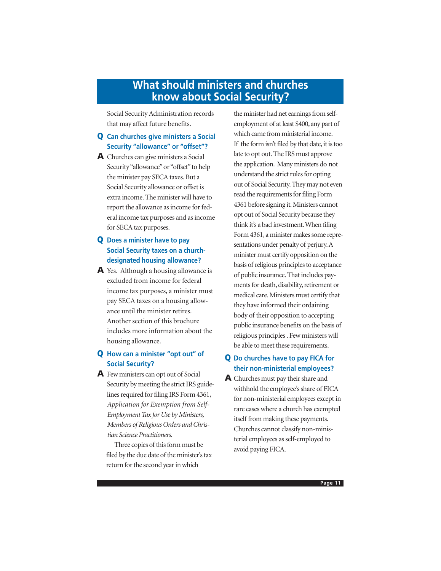Social Security Administration records that may affect future benefits.

#### **Q Can churches give ministers a Social Security "allowance" or "offset"?**

**A** Churches can give ministers a Social Security "allowance" or "offset" to help the minister pay SECA taxes. But a Social Security allowance or offset is extra income. The minister will have to report the allowance as income for federal income tax purposes and as income for SECA tax purposes.

## **Q Does a minister have to pay Social Security taxes on a churchdesignated housing allowance?**

**A** Yes. Although a housing allowance is excluded from income for federal income tax purposes, a minister must pay SECA taxes on a housing allowance until the minister retires. Another section of this brochure includes more information about the housing allowance.

### **Q How can a minister "opt out" of Social Security?**

**A** Few ministers can opt out of Social Security by meeting the strict IRS guidelines required for filing IRS Form 4361, *Application for Exemption from Self-Employment Tax for Use by Ministers, Members of Religious Orders and Christian Science Practitioners.*

Three copies of this form must be filed by the due date of the minister's tax return for the second year in which

the minister had net earnings from selfemployment of at least \$400, any part of which came from ministerial income. If the form isn't filed by that date, it is too late to opt out. The IRS must approve the application. Many ministers do not understand the strict rules for opting out of Social Security. They may not even read the requirements for filing Form 4361 before signing it. Ministers cannot opt out of Social Security because they think it's a bad investment.When filing Form 4361, a minister makes some representations under penalty of perjury.A minister must certify opposition on the basis of religious principles to acceptance of public insurance. That includes payments for death, disability, retirement or medical care. Ministers must certify that they have informed their ordaining body of their opposition to accepting public insurance benefits on the basis of religious principles . Few ministers will be able to meet these requirements.

# **Q Do churches have to pay FICA for their non-ministerial employees?**

**A** Churches must pay their share and withhold the employee's share of FICA for non-ministerial employees except in rare cases where a church has exempted itself from making these payments. Churches cannot classify non-ministerial employees as self-employed to avoid paying FICA.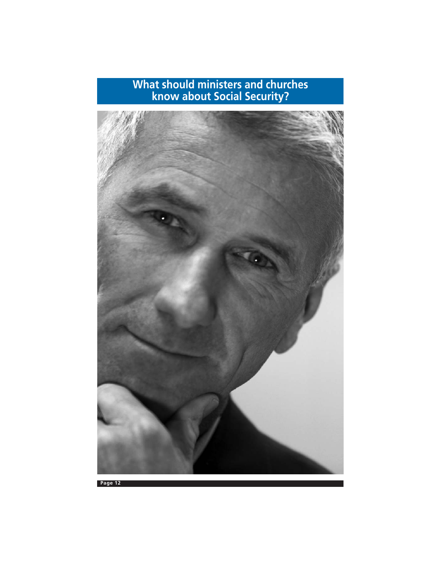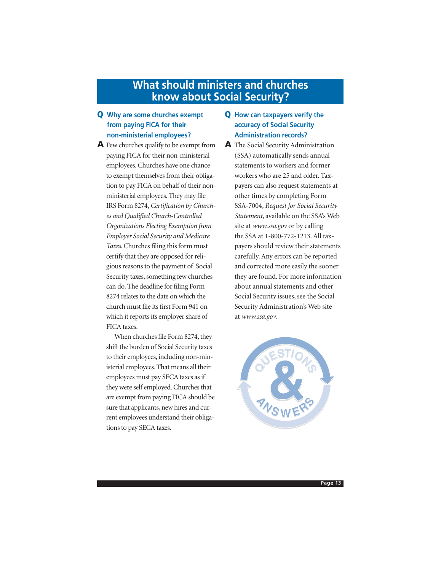### **Q Why are some churches exempt from paying FICA for their non-ministerial employees?**

**A** Few churches qualify to be exempt from paying FICA for their non-ministerial employees. Churches have one chance to exempt themselves from their obligation to pay FICA on behalf of their nonministerial employees. They may file IRS Form 8274,*Certification by Churches and Qualified Church-Controlled Organizations Electing Exemption from Employer Social Security and Medicare Taxes*. Churches filing this form must certify that they are opposed for religious reasons to the payment of Social Security taxes, something few churches can do. The deadline for filing Form 8274 relates to the date on which the church must file its first Form 941 on which it reports its employer share of FICA taxes.

When churches file Form 8274, they shift the burden of Social Security taxes to their employees, including non-ministerial employees. That means all their employees must pay SECA taxes as if they were self employed. Churches that are exempt from paying FICA should be sure that applicants, new hires and current employees understand their obligations to pay SECA taxes.

# **Q How can taxpayers verify the accuracy of Social Security Administration records?**

**A** The Social Security Administration (SSA) automatically sends annual statements to workers and former workers who are 25 and older. Taxpayers can also request statements at other times by completing Form SSA-7004, *Request for Social Security Statement*, available on the SSA's Web site at *www.ssa.gov* or by calling the SSA at 1-800-772-1213. All taxpayers should review their statements carefully. Any errors can be reported and corrected more easily the sooner they are found. For more information about annual statements and other Social Security issues, see the Social Security Administration's Web site at *www.ssa.gov.*

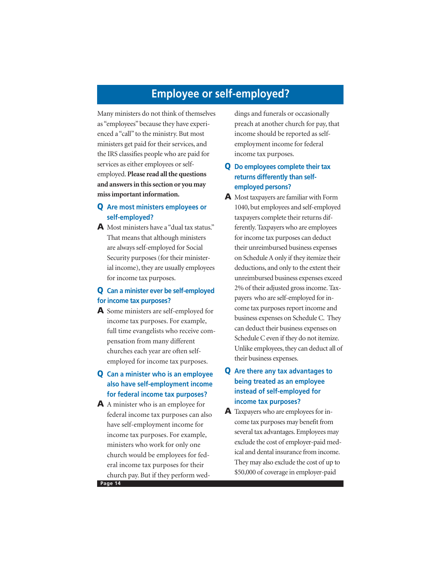Many ministers do not think of themselves as "employees" because they have experienced a "call" to the ministry. But most ministers get paid for their services, and the IRS classifies people who are paid for services as either employees or selfemployed. **Please read all the questions and answers in this section or you may miss important information.**

- **Q Are most ministers employees or self-employed?**
- **A** Most ministers have a "dual tax status." That means that although ministers are always self-employed for Social Security purposes (for their ministerial income), they are usually employees for income tax purposes.

#### **Q Can a minister ever be self-employed for income tax purposes?**

- **A** Some ministers are self-employed for income tax purposes. For example, full time evangelists who receive compensation from many different churches each year are often selfemployed for income tax purposes.
- **Q Can a minister who is an employee also have self-employment income for federal income tax purposes?**
- **A** A minister who is an employee for federal income tax purposes can also have self-employment income for income tax purposes. For example, ministers who work for only one church would be employees for federal income tax purposes for their church pay. But if they perform wed-

dings and funerals or occasionally preach at another church for pay, that income should be reported as selfemployment income for federal income tax purposes.

#### **Q Do employees complete their tax returns differently than selfemployed persons?**

**A** Most taxpayers are familiar with Form 1040, but employees and self-employed taxpayers complete their returns differently. Taxpayers who are employees for income tax purposes can deduct their unreimbursed business expenses on Schedule A only if they itemize their deductions, and only to the extent their unreimbursed business expenses exceed 2% of their adjusted gross income. Taxpayers who are self-employed for income tax purposes report income and business expenses on Schedule C. They can deduct their business expenses on Schedule C even if they do not itemize. Unlike employees, they can deduct all of their business expenses.

### **Q Are there any tax advantages to being treated as an employee instead of self-employed for income tax purposes?**

**A** Taxpayers who are employees for income tax purposes may benefit from several tax advantages. Employees may exclude the cost of employer-paid medical and dental insurance from income. They may also exclude the cost of up to \$50,000 of coverage in employer-paid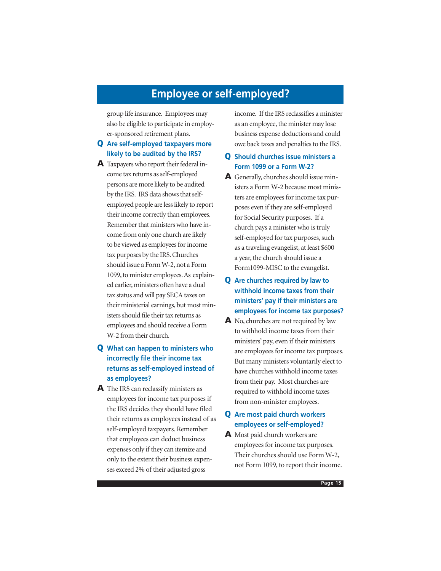group life insurance. Employees may also be eligible to participate in employer-sponsored retirement plans.

- **Q Are self-employed taxpayers more likely to be audited by the IRS?**
- **A** Taxpayers who report their federal income tax returns as self-employed persons are more likely to be audited by the IRS. IRS data shows that selfemployed people are less likely to report their income correctly than employees. Remember that ministers who have income from only one church are likely to be viewed as employees for income tax purposes by the IRS. Churches should issue a Form W-2, not a Form 1099, to minister employees.As explained earlier, ministers often have a dual tax status and will pay SECA taxes on their ministerial earnings, but most ministers should file their tax returns as employees and should receive a Form W-2 from their church.

# **Q What can happen to ministers who incorrectly file their income tax returns as self-employed instead of as employees?**

**A** The IRS can reclassify ministers as employees for income tax purposes if the IRS decides they should have filed their returns as employees instead of as self-employed taxpayers. Remember that employees can deduct business expenses only if they can itemize and only to the extent their business expenses exceed 2% of their adjusted gross

income. If the IRS reclassifies a minister as an employee, the minister may lose business expense deductions and could owe back taxes and penalties to the IRS.

#### **Q Should churches issue ministers a Form 1099 or a Form W-2?**

**A** Generally, churches should issue ministers a Form W-2 because most ministers are employees for income tax purposes even if they are self-employed for Social Security purposes. If a church pays a minister who is truly self-employed for tax purposes, such as a traveling evangelist, at least \$600 a year, the church should issue a Form1099-MISC to the evangelist.

**Q Are churches required by law to withhold income taxes from their ministers' pay if their ministers are employees for income tax purposes?**

**A** No, churches are not required by law to withhold income taxes from their ministers' pay, even if their ministers are employees for income tax purposes. But many ministers voluntarily elect to have churches withhold income taxes from their pay. Most churches are required to withhold income taxes from non-minister employees.

### **Q Are most paid church workers employees or self-employed?**

**A** Most paid church workers are employees for income tax purposes. Their churches should use Form W-2, not Form 1099, to report their income.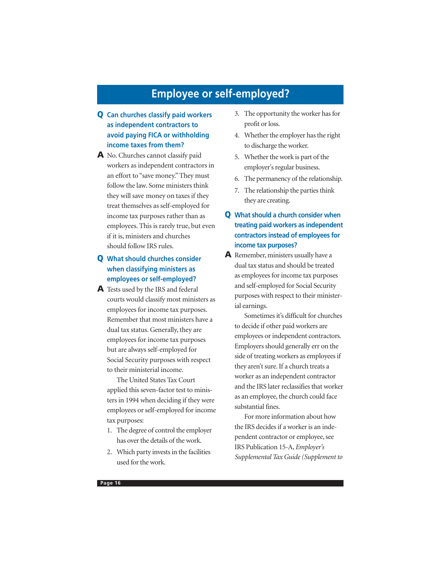- **Q Can churches classify paid workers as independent contractors to avoid paying FICA or withholding income taxes from them?**
- **A** No. Churches cannot classify paid workers as independent contractors in an effort to "save money." They must follow the law. Some ministers think they will save money on taxes if they treat themselves as self-employed for income tax purposes rather than as employees. This is rarely true, but even if it is, ministers and churches should follow IRS rules.
- **Q What should churches consider when classifying ministers as employees or self-employed?**
- **A** Tests used by the IRS and federal courts would classify most ministers as employees for income tax purposes. Remember that most ministers have a dual tax status. Generally, they are employees for income tax purposes but are always self-employed for Social Security purposes with respect to their ministerial income.

The United States Tax Court applied this seven-factor test to ministers in 1994 when deciding if they were employees or self-employed for income tax purposes:

- 1. The degree of control the employer has over the details of the work.
- 2. Which party invests in the facilities used for the work.
- 3. The opportunity the worker has for profit or loss.
- 4. Whether the employer has the right to discharge the worker.
- 5. Whether the work is part of the employer's regular business.
- 6. The permanency of the relationship.
- 7. The relationship the parties think they are creating.

# **Q What should a church consider when treating paid workers as independent contractors instead of employees for income tax purposes?**

**A** Remember, ministers usually have a dual tax status and should be treated as employees for income tax purposes and self-employed for Social Security purposes with respect to their ministerial earnings.

Sometimes it's difficult for churches to decide if other paid workers are employees or independent contractors. Employers should generally err on the side of treating workers as employees if they aren't sure. If a church treats a worker as an independent contractor and the IRS later reclassifies that worker as an employee, the church could face substantial fines.

For more information about how the IRS decides if a worker is an independent contractor or employee, see IRS Publication 15-A, *Employer's Supplemental Tax Guide (Supplement to* 

**Page 16**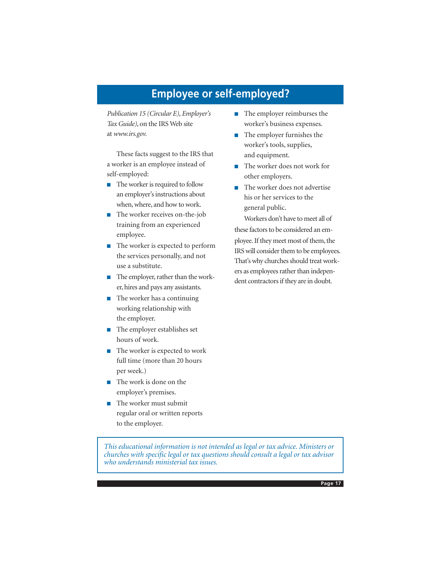*Publication 15 (Circular E), Employer's Tax Guide)*, on the IRS Web site at *www.irs.gov.*

These facts suggest to the IRS that a worker is an employee instead of self-employed:

- The worker is required to follow an employer's instructions about when, where, and how to work.
- The worker receives on-the-job training from an experienced employee.
- The worker is expected to perform the services personally, and not use a substitute.
- The employer, rather than the worker, hires and pays any assistants.
- The worker has a continuing working relationship with the employer.
- The employer establishes set hours of work.
- The worker is expected to work full time (more than 20 hours per week.)
- The work is done on the employer's premises.
- The worker must submit regular oral or written reports to the employer.
- The employer reimburses the worker's business expenses.
- The employer furnishes the worker's tools, supplies, and equipment.
- The worker does not work for other employers.
- The worker does not advertise his or her services to the general public.

Workers don't have to meet all of these factors to be considered an employee. If they meet most of them, the IRS will consider them to be employees. That's why churches should treat workers as employees rather than independent contractors if they are in doubt.

*This educational information is not intended as legal or tax advice. Ministers or churches with specific legal or tax questions should consult a legal or tax advisor who understands ministerial tax issues.*